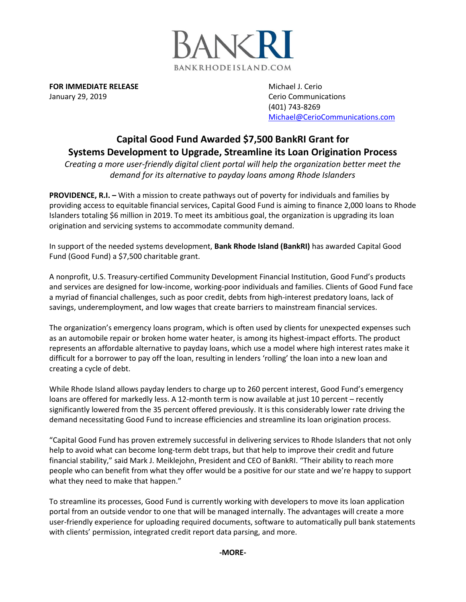

**FOR IMMEDIATE RELEASE** Michael J. Cerio January 29, 2019 **Cerio Communications** Cerio Communications

(401) 743-8269 [Michael@CerioCommunications.com](mailto:Michael@CerioCommunications.com)

## **Capital Good Fund Awarded \$7,500 BankRI Grant for Systems Development to Upgrade, Streamline its Loan Origination Process**

*Creating a more user-friendly digital client portal will help the organization better meet the demand for its alternative to payday loans among Rhode Islanders*

**PROVIDENCE, R.I.** – With a mission to create pathways out of poverty for individuals and families by providing access to equitable financial services, Capital Good Fund is aiming to finance 2,000 loans to Rhode Islanders totaling \$6 million in 2019. To meet its ambitious goal, the organization is upgrading its loan origination and servicing systems to accommodate community demand.

In support of the needed systems development, **Bank Rhode Island (BankRI)** has awarded Capital Good Fund (Good Fund) a \$7,500 charitable grant.

A nonprofit, U.S. Treasury-certified Community Development Financial Institution, Good Fund's products and services are designed for low-income, working-poor individuals and families. Clients of Good Fund face a myriad of financial challenges, such as poor credit, debts from high-interest predatory loans, lack of savings, underemployment, and low wages that create barriers to mainstream financial services.

The organization's emergency loans program, which is often used by clients for unexpected expenses such as an automobile repair or broken home water heater, is among its highest-impact efforts. The product represents an affordable alternative to payday loans, which use a model where high interest rates make it difficult for a borrower to pay off the loan, resulting in lenders 'rolling' the loan into a new loan and creating a cycle of debt.

While Rhode Island allows payday lenders to charge up to 260 percent interest, Good Fund's emergency loans are offered for markedly less. A 12-month term is now available at just 10 percent – recently significantly lowered from the 35 percent offered previously. It is this considerably lower rate driving the demand necessitating Good Fund to increase efficiencies and streamline its loan origination process.

"Capital Good Fund has proven extremely successful in delivering services to Rhode Islanders that not only help to avoid what can become long-term debt traps, but that help to improve their credit and future financial stability," said Mark J. Meiklejohn, President and CEO of BankRI. "Their ability to reach more people who can benefit from what they offer would be a positive for our state and we're happy to support what they need to make that happen."

To streamline its processes, Good Fund is currently working with developers to move its loan application portal from an outside vendor to one that will be managed internally. The advantages will create a more user-friendly experience for uploading required documents, software to automatically pull bank statements with clients' permission, integrated credit report data parsing, and more.